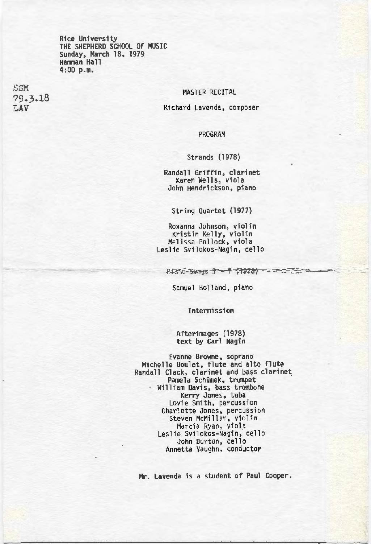Rice University THE SHEPHERD SCHOOL OF MUSIC Sunday, March 18, 1979 Hamman Hall 4:00 p.m.

SSM 79-3-18 LAV

### MASTER RECITAL

**Richard Lavenda, composer** 

#### PROGRAM

#### Strands (1978)

**Randall Griffin, clarinet**  John Hendrickson, piano

String Quartet (1977)

**Roxanna Johnson, violin Kristin Kelly, violin Melissa Pollock, viola**  Leslie Svilokos-Nagin, cello

Piano Somes 3 - 7 (1978) - - - - - -

Samuel Holland, piano

**Intermission** 

# Afterimages (1978) text by Carl Nagin

**Evanne Browne, soprano** Michelle Boulet, flute and alto flute **Randall Clack, clarinet and bass clarinet**  Pamela Schimek, trumpet **Willi am Davis, bass trombone Kerry Janes, tuba Lovi e Smith, percussion Charlotte Jones, percussion**  Steven McMillan, violin<br>Marcia Ryan, viola Leslie Svilokos-Nagin, cello **John Burton, cel lo Annetta Vaughn, conductor** 

Mr. Lavenda is a student of Paul Cooper.